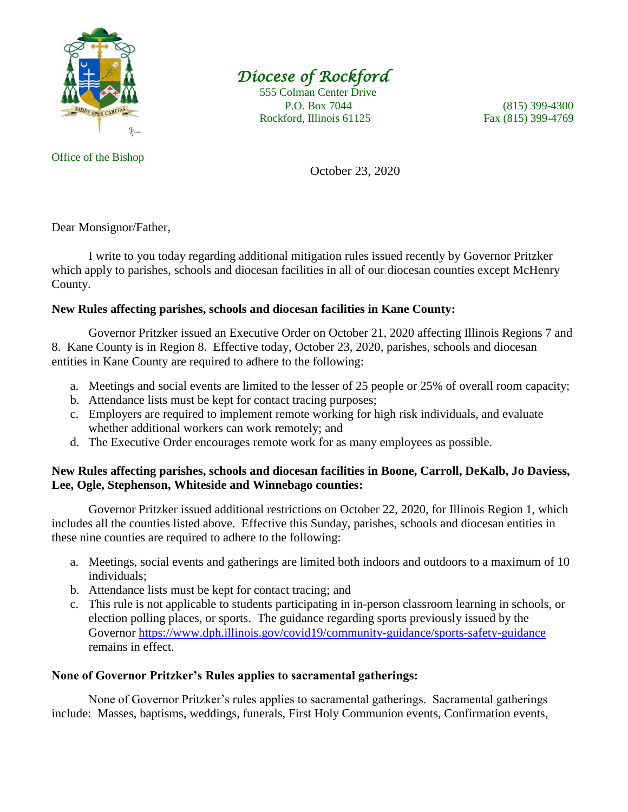

# *Diocese of Rockford*

 555 Colman Center Drive P.O. Box 7044 (815) 399-4300 Rockford, Illinois 61125 Fax (815) 399-4769

October 23, 2020

Dear Monsignor/Father,

I write to you today regarding additional mitigation rules issued recently by Governor Pritzker which apply to parishes, schools and diocesan facilities in all of our diocesan counties except McHenry County.

### **New Rules affecting parishes, schools and diocesan facilities in Kane County:**

Governor Pritzker issued an Executive Order on October 21, 2020 affecting Illinois Regions 7 and 8. Kane County is in Region 8. Effective today, October 23, 2020, parishes, schools and diocesan entities in Kane County are required to adhere to the following:

- a. Meetings and social events are limited to the lesser of 25 people or 25% of overall room capacity;
- b. Attendance lists must be kept for contact tracing purposes;
- c. Employers are required to implement remote working for high risk individuals, and evaluate whether additional workers can work remotely; and
- d. The Executive Order encourages remote work for as many employees as possible.

### **New Rules affecting parishes, schools and diocesan facilities in Boone, Carroll, DeKalb, Jo Daviess, Lee, Ogle, Stephenson, Whiteside and Winnebago counties:**

Governor Pritzker issued additional restrictions on October 22, 2020, for Illinois Region 1, which includes all the counties listed above. Effective this Sunday, parishes, schools and diocesan entities in these nine counties are required to adhere to the following:

- a. Meetings, social events and gatherings are limited both indoors and outdoors to a maximum of 10 individuals;
- b. Attendance lists must be kept for contact tracing; and
- c. This rule is not applicable to students participating in in-person classroom learning in schools, or election polling places, or sports. The guidance regarding sports previously issued by the Governor<https://www.dph.illinois.gov/covid19/community-guidance/sports-safety-guidance> remains in effect.

## **None of Governor Pritzker's Rules applies to sacramental gatherings:**

None of Governor Pritzker's rules applies to sacramental gatherings. Sacramental gatherings include: Masses, baptisms, weddings, funerals, First Holy Communion events, Confirmation events,

#### Office of the Bishop